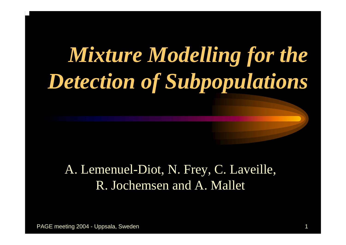# *Mixture Modelling for the Detection of Subpopulations*

### A. Lemenuel-Diot, N. Frey, C. Laveille, R. Jochemsen and A. Mallet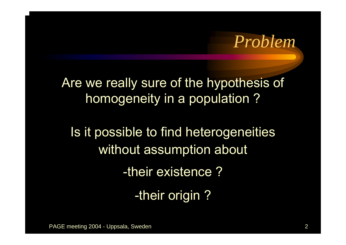*Problem*

Are we really sure of the hypothesis of homogeneity in a population ?

Is it possible to find heterogeneities without assumption about -their existence ?-their origin ?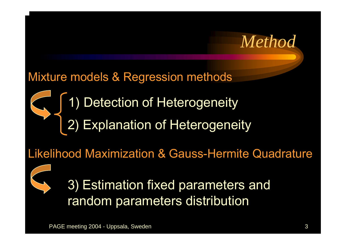

### Mixture models & Regression methods

## 1) Detection of Heterogeneity 2) Explanation of Heterogeneity

### Likelihood Maximization & Gauss-Hermite Quadrature



### 3) Estimation fixed parameters and random parameters distribution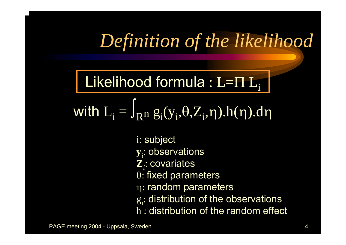## *Definition of the likelihood*

Likelihood formula : L= $\Pi$  L $_{\rm i}$ 

with  $L_i = \int_{R^n} g_i(y_i, \theta, Z_i, \eta) . h(\eta) . d\eta$ 

i: subject

- **<sup>y</sup>***i*: observations
- **<sup>Z</sup>***i*: covariates
- θ: fixed parameters
- η: random parameters
- $g_i$ : distribution of the observations
- h : distribution of the random effect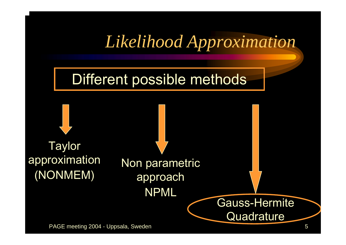### *Likelihood Approximation*

### Different possible methods

**Taylor** approximation (NONMEM)

Non parametric approach NPML

PAGE meeting 2004 - Uppsala, Sweden 5

Gauss-Hermite

**Quadrature**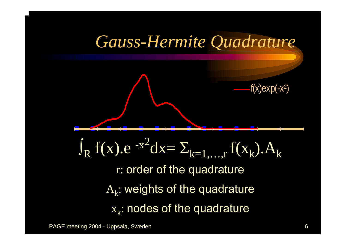Gauss-Hermite Quadrature  
\n
$$
-(x)exp(-x^2)
$$
\n
$$
-(x)exp(-x^2)
$$

$$
\int_{R} f(x) . e^{-x^{2}} dx = \sum_{k=1,...,r} f(x_{k}). A_{k}
$$

r: order of the quadrature

 $\rm A_k$ : weights of the quadrature  $\mathrm{x}_\mathrm{k}$ : nodes of the quadrature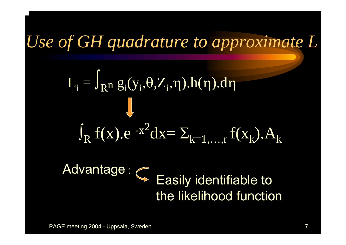## *Use of GH quadrature to approximate L*

$$
L_i = \int_{R^n} g_i(y_i, \theta, Z_i, \eta).h(\eta).d\eta
$$
  

$$
\int_{R} f(x).e^{-x^2} dx = \sum_{k=1,...,r} f(x_k).A_k
$$

# Advantage :  $\epsilon$  Easily identifiable to the likelihood function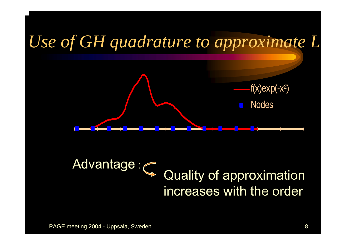

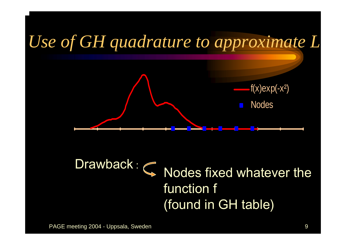

### Drawback $K: \mathbb{Q}$  Nodes fixed whatever the function f (found in GH table)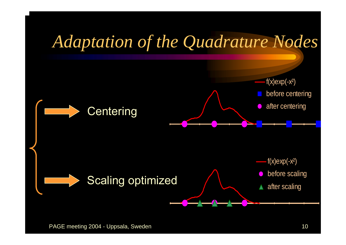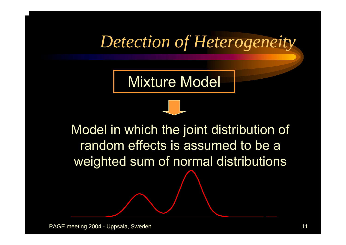### *Detection of Heterogeneity*

Mixture Model



Model in which the joint distribution of random effects is assumed to be a weighted sum of normal distributions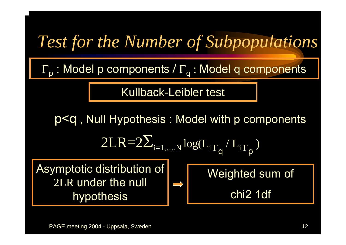## *Test for the Number of Subpopulations*

Γ <sup>p</sup> : Model p components **/** Γ <sub>q</sub> : Model q components

Kullback-Leibler test

p<q , Null Hypothesis : Model with p components 2LR=2  $\sum_{\rm i=1,...,N}^{}\rm{log(L}_{\rm{i}\, \Gamma_{q}}$  $\sqrt{\, L^{\,}_{\rm i}\, \Gamma_{\rm p}}$ ) Asymptotic distribution of 2LR under the null hypothesis Weighted sum of chi2 1df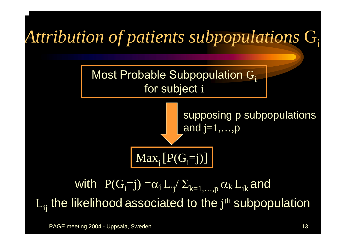#### *Attribution of patients subpopulations*  G i



supposing p subpopulations and j=1,...,p

 $\text{Max}_{j}\left[\text{P}(G_{i}=j)\right]$ 

### with  $\rm \ P(G_{i}=j)=$   $\alpha_{j}$   $\rm L_{i j^{'}}$   $\rm \Sigma_{k=1,...,p}$   $\alpha_{k}$   $\rm L_{i k}$  and  $\mathrm{L}_{\mathrm{ij}}$  the likelihood associated to the  $\mathrm{j^{th}}$  subpopulation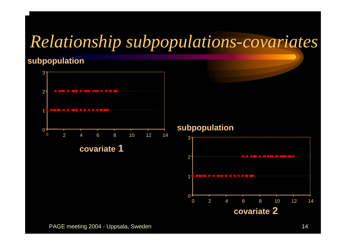## *Relationship subpopulations-covariates*

#### **subpopulation**



#### **subpopulation**

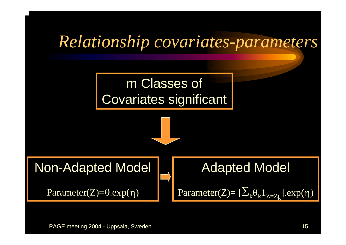## *Relationship covariates-parameters*

### m Classes of Covariates significant





```
Parameter(Z)=θ.exp(
η
)
```
### Adapted Model

$$
Parameter(Z) = [\Sigma_k \theta_k 1_{Z = Z_k}].exp(\eta)
$$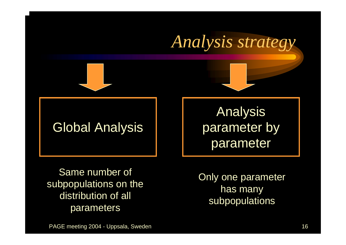

parameter

Same number of subpopulations on the distribution of all parameters

Only one parameter has many subpopulations

PAGE meeting 2004 - Uppsala, Sweden 16 and 16 and 16 and 16 and 16 and 16 and 16 and 16 and 16 and 16 and 16 and 16 and 16 and 16 and 16 and 16 and 16 and 16 and 16 and 16 and 16 and 16 and 16 and 16 and 16 and 16 and 16 a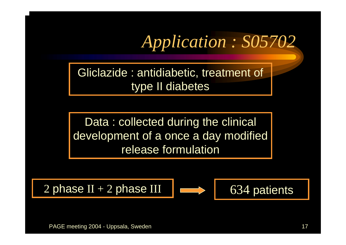*Application : S05702*

Gliclazide : antidiabetic, treatment of type II diabetes

Data: collected during the clinical development of a once a day modified release formulation

2 phase II + 2 phase III  $\vert \vert \vert \vert$  634 patients

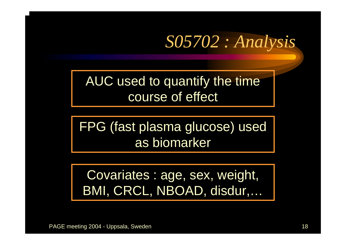## *S05702 : Analysis*

AUC used to quantify the time course of effect

FPG (fast plasma glucose) used as biomarker

Covariates : age, sex, weight, BMI, CRCL, NBOAD, disdur,…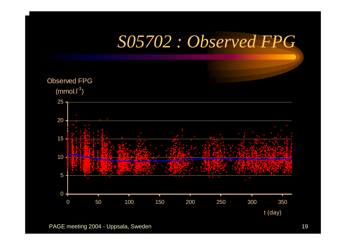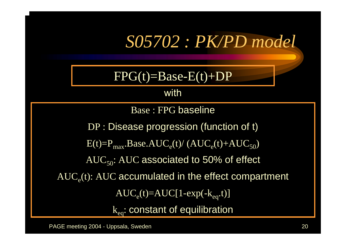## *S05702 : PK/PD model*

### $FPG(t)=Base-E(t)+DP$

#### with

Base : FPG baseline

DP : Disease progression (function of t)

 $E(t)=P_{max}$ .Base.AUC<sub>e</sub>(t)/ (AUC<sub>e</sub>(t)+AUC<sub>50</sub>)

 $AUC_{50}$ : AUC associated to 50% of effect

 $\mathrm{AUC}_\mathrm{e}$ (t):  $\mathrm{AUC}$  accumulated in the effect compartment

 $\mathrm{AUC}_\mathrm{e}(\mathrm{t})\text{=} \mathrm{AUC} [1\text{--exp}(\text{--}\mathrm{k}_\mathrm{eq}\text{.}\mathrm{t})]$ 

 $\rm k_{eq}$ : constant of equilibration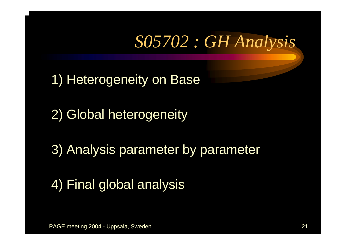## *S05702 : GH Analysis*

1) Heterogeneity on Base

2) Global heterogeneity

3) Analysis parameter by parameter

4) Final global analysis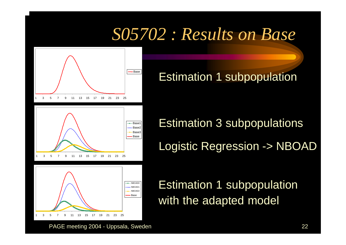## *S05702 : Results on Base*



Base **Estimation 1 subpopulation** 

Estimation 3 subpopulations Logistic Regression -> NBOAD

Estimation 1 subpopulation with the adapted model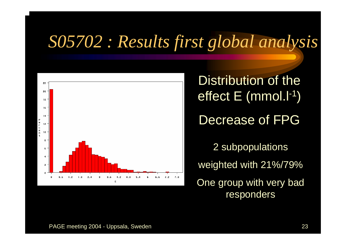## *S05702 : Results first global analysis*



Distribution of the effect E (mmol.l-1 ) Decrease of FPG2 subpopulations weighted with 21%/79% One group with very bad responders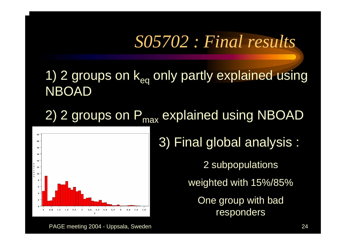### *S05702 : Final results*

1) 2 groups on  $k_{eq}$  only partly explained using **NBOAD** 

2) 2 groups on P<sub>max</sub> explained using NBOAD



3) Final global analysis : 2 subpopulations weighted with 15%/85% One group with bad responders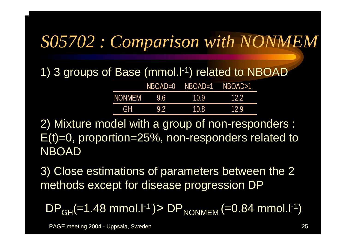## *S05702 : Comparison with NONMEM*

1) 3 groups of Base (mmol.l-1) related to NBOAD

|            |     | NBOAD=0 NBOAD=1 NBOAD>1 |      |
|------------|-----|-------------------------|------|
| NONMEM     | 9.6 | 10.9                    | 12.2 |
| <b>TGH</b> | 9.2 | 10.8                    | 12.9 |

2) Mixture model with a group of non-responders : E(t)=0, proportion=25%, non-responders related to NBOAD

3) Close estimations of parameters between the 2 methods except for disease progression DP

DP<sub>GH</sub>(=1.48 mmol.l<sup>-1</sup> )> DP<sub>NONMEM</sub> (=0.84 mmol.l<sup>-1</sup>)